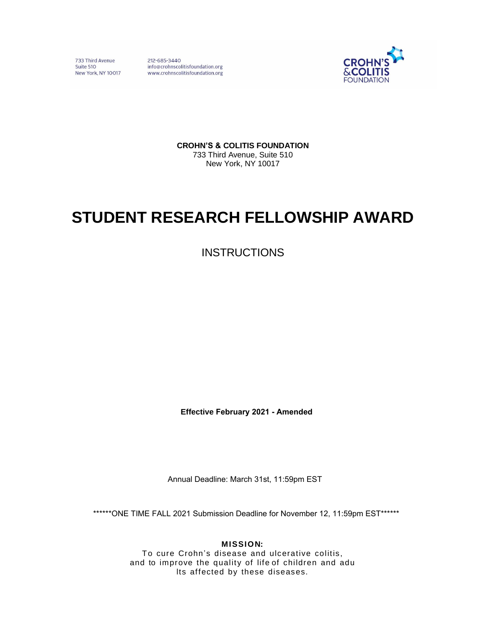212-685-3440 info@crohnscolitisfoundation.org www.crohnscolitisfoundation.org



**CROHN'S & COLITIS FOUNDATION** 

733 Third Avenue, Suite 510 New York, NY 10017

# **STUDENT RESEARCH FELLOWSHIP AWARD**

**INSTRUCTIONS** 

**Effective February 2021 - Amended**

Annual Deadline: March 31st, 11:59pm EST

\*\*\*\*\*\*ONE TIME FALL 2021 Submission Deadline for November 12, 11:59pm EST\*\*\*\*\*\*

#### **MISSION:**

To cure Crohn's disease and ulcerative colitis, and to improve the quality of life of children and adu lts affected by these diseases.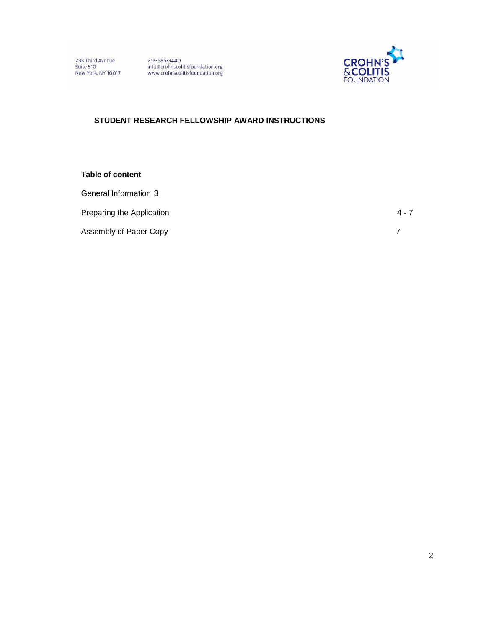

## **STUDENT RESEARCH FELLOWSHIP AWARD INSTRUCTIONS**

#### **Table of content**

| General Information 3     |       |
|---------------------------|-------|
| Preparing the Application | 4 - 7 |
| Assembly of Paper Copy    |       |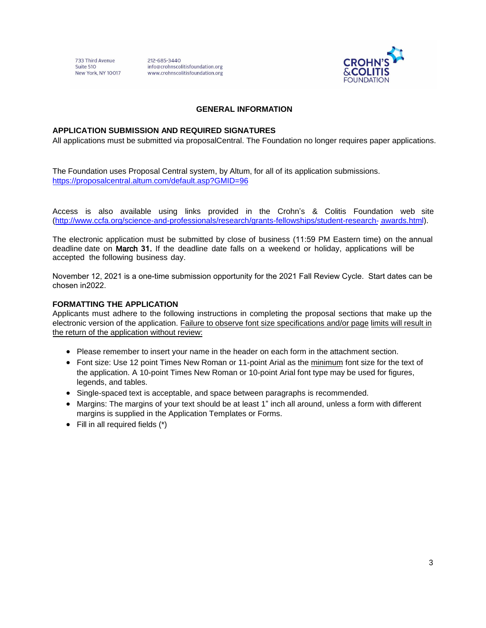212-685-3440 info@crohnscolitisfoundation.org www.crohnscolitisfoundation.org



## **GENERAL INFORMATION**

## <span id="page-2-0"></span>**APPLICATION SUBMISSION AND REQUIRED SIGNATURES**

All applications must be submitted via proposalCentral. The Foundation no longer requires paper applications.

The Foundation uses Proposal Central system, by Altum, for all of its application submissions. <https://proposalcentral.altum.com/default.asp?GMID=96>

Access is also available using links provided in the Crohn's & Colitis Foundation web site [\(http://www.ccfa.org/science-and-professionals/research/grants-fellowships/student-research-](http://www.ccfa.org/science-and-professionals/research/grants-fellowships/student-research-awards.html) [awards.html\)](http://www.ccfa.org/science-and-professionals/research/grants-fellowships/student-research-awards.html).

The electronic application must be submitted by close of business (11:59 PM Eastern time) on the annual deadline date on March **31**. If the deadline date falls on a weekend or holiday, applications will be accepted the following business day.

November 12, 2021 is a one-time submission opportunity for the 2021 Fall Review Cycle. Start dates can be chosen in2022.

#### **FORMATTING THE APPLICATION**

Applicants must adhere to the following instructions in completing the proposal sections that make up the electronic version of the application. Failure to observe font size specifications and/or page limits will result in the return of the application without review:

- Please remember to insert your name in the header on each form in the attachment section.
- Font size: Use 12 point Times New Roman or 11-point Arial as the minimum font size for the text of the application. A 10-point Times New Roman or 10-point Arial font type may be used for figures, legends, and tables.
- Single-spaced text is acceptable, and space between paragraphs is recommended.
- Margins: The margins of your text should be at least 1" inch all around, unless a form with different margins is supplied in the Application Templates or Forms.
- Fill in all required fields (\*)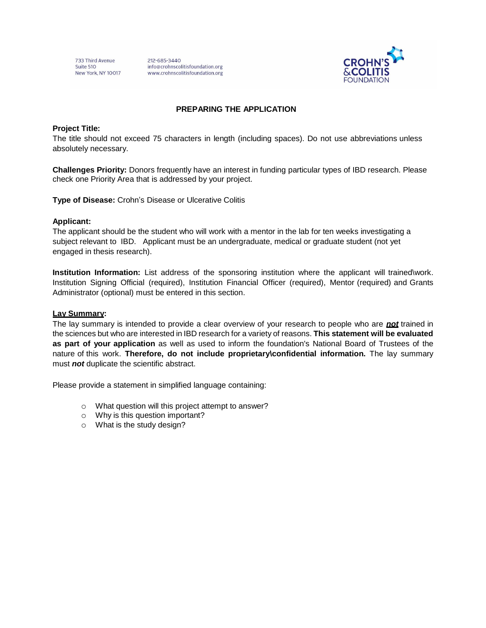212-685-3440 info@crohnscolitisfoundation.org www.crohnscolitisfoundation.org



## **PREPARING THE APPLICATION**

#### <span id="page-3-0"></span>**Project Title:**

The title should not exceed 75 characters in length (including spaces). Do not use abbreviations unless absolutely necessary.

**Challenges Priority:** Donors frequently have an interest in funding particular types of IBD research. Please check one Priority Area that is addressed by your project.

**Type of Disease:** Crohn's Disease or Ulcerative Colitis

## **Applicant:**

The applicant should be the student who will work with a mentor in the lab for ten weeks investigating a subject relevant to IBD. Applicant must be an undergraduate, medical or graduate student (not yet engaged in thesis research).

**Institution Information:** List address of the sponsoring institution where the applicant will trained\work. Institution Signing Official (required), Institution Financial Officer (required), Mentor (required) and Grants Administrator (optional) must be entered in this section.

## **Lay Summary:**

The lay summary is intended to provide a clear overview of your research to people who are *not* trained in the sciences but who are interested in IBD research for a variety of reasons. **This statement will be evaluated as part of your application** as well as used to inform the foundation's National Board of Trustees of the nature of this work. **Therefore, do not include proprietary\confidential information.** The lay summary must *not* duplicate the scientific abstract.

Please provide a statement in simplified language containing:

- o What question will this project attempt to answer?
- o Why is this question important?
- o What is the study design?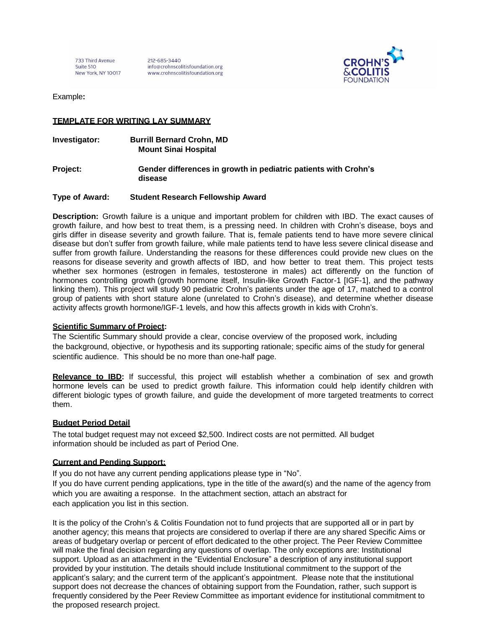212-685-3440 info@crohnscolitisfoundation.org www.crohnscolitisfoundation.org



Example**:** 

#### **TEMPLATE FOR WRITING LAY SUMMARY**

- **Investigator: Burrill Bernard Crohn, MD Mount Sinai Hospital**
- **Project: Gender differences in growth in pediatric patients with Crohn's disease**

#### **Type of Award: Student Research Fellowship Award**

**Description:** Growth failure is a unique and important problem for children with IBD. The exact causes of growth failure, and how best to treat them, is a pressing need. In children with Crohn's disease, boys and girls differ in disease severity and growth failure. That is, female patients tend to have more severe clinical disease but don't suffer from growth failure, while male patients tend to have less severe clinical disease and suffer from growth failure. Understanding the reasons for these differences could provide new clues on the reasons for disease severity and growth affects of IBD, and how better to treat them. This project tests whether sex hormones (estrogen in females, testosterone in males) act differently on the function of hormones controlling growth (growth hormone itself, Insulin-like Growth Factor-1 [IGF-1], and the pathway linking them). This project will study 90 pediatric Crohn's patients under the age of 17, matched to a control group of patients with short stature alone (unrelated to Crohn's disease), and determine whether disease activity affects growth hormone/IGF-1 levels, and how this affects growth in kids with Crohn's.

#### **Scientific Summary of Project:**

The Scientific Summary should provide a clear, concise overview of the proposed work, including the background, objective, or hypothesis and its supporting rationale; specific aims of the study for general scientific audience. This should be no more than one-half page.

**Relevance to IBD:** If successful, this project will establish whether a combination of sex and growth hormone levels can be used to predict growth failure. This information could help identify children with different biologic types of growth failure, and guide the development of more targeted treatments to correct them.

#### **Budget Period Detail**

The total budget request may not exceed \$2,500. Indirect costs are not permitted. All budget information should be included as part of Period One.

#### **Current and Pending Support:**

If you do not have any current pending applications please type in "No".

If you do have current pending applications, type in the title of the award(s) and the name of the agency from which you are awaiting a response. In the attachment section, attach an abstract for each application you list in this section.

It is the policy of the Crohn's & Colitis Foundation not to fund projects that are supported all or in part by another agency; this means that projects are considered to overlap if there are any shared Specific Aims or areas of budgetary overlap or percent of effort dedicated to the other project. The Peer Review Committee will make the final decision regarding any questions of overlap. The only exceptions are: Institutional support. Upload as an attachment in the "Evidential Enclosure" a description of any institutional support provided by your institution. The details should include Institutional commitment to the support of the applicant's salary; and the current term of the applicant's appointment. Please note that the institutional support does not decrease the chances of obtaining support from the Foundation, rather, such support is frequently considered by the Peer Review Committee as important evidence for institutional commitment to the proposed research project.